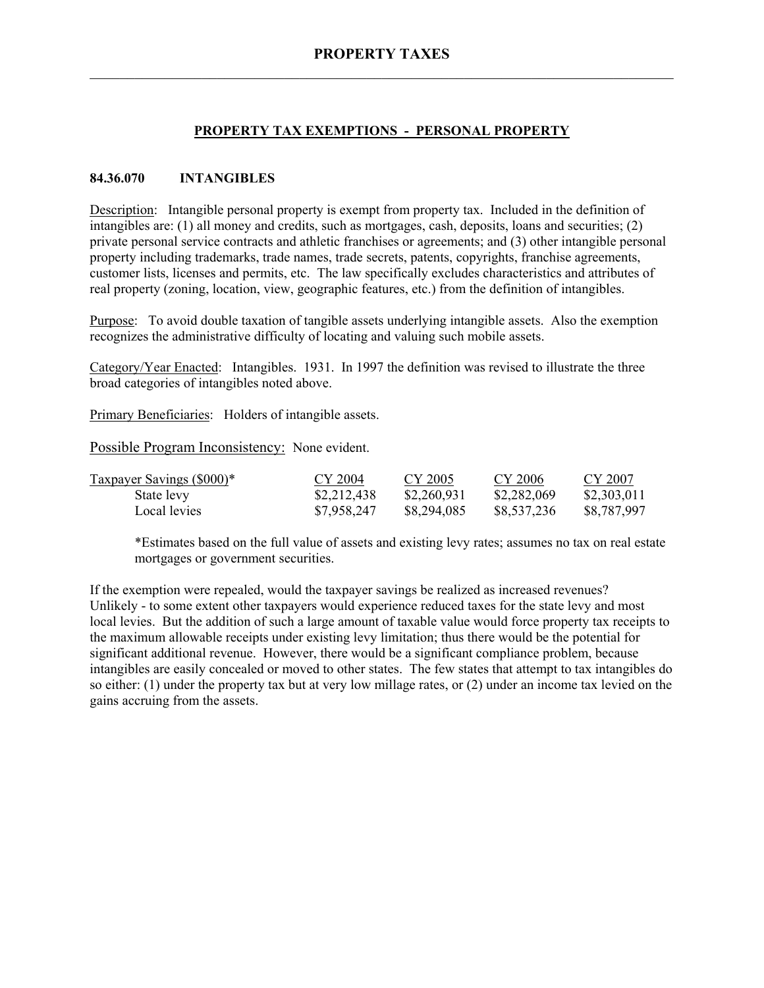# **PROPERTY TAX EXEMPTIONS - PERSONAL PROPERTY**

### **84.36.070 INTANGIBLES**

Description: Intangible personal property is exempt from property tax. Included in the definition of intangibles are: (1) all money and credits, such as mortgages, cash, deposits, loans and securities; (2) private personal service contracts and athletic franchises or agreements; and (3) other intangible personal property including trademarks, trade names, trade secrets, patents, copyrights, franchise agreements, customer lists, licenses and permits, etc. The law specifically excludes characteristics and attributes of real property (zoning, location, view, geographic features, etc.) from the definition of intangibles.

Purpose: To avoid double taxation of tangible assets underlying intangible assets. Also the exemption recognizes the administrative difficulty of locating and valuing such mobile assets.

Category/Year Enacted: Intangibles. 1931. In 1997 the definition was revised to illustrate the three broad categories of intangibles noted above.

Primary Beneficiaries: Holders of intangible assets.

Possible Program Inconsistency: None evident.

| Taxpayer Savings (\$000)* | CY 2004     | CY 2005     | CY 2006     | CY 2007     |
|---------------------------|-------------|-------------|-------------|-------------|
| State levy                | \$2,212,438 | \$2,260,931 | \$2,282,069 | \$2,303,011 |
| Local levies              | \$7,958,247 | \$8,294,085 | \$8,537,236 | \$8,787,997 |

\*Estimates based on the full value of assets and existing levy rates; assumes no tax on real estate mortgages or government securities.

If the exemption were repealed, would the taxpayer savings be realized as increased revenues? Unlikely - to some extent other taxpayers would experience reduced taxes for the state levy and most local levies. But the addition of such a large amount of taxable value would force property tax receipts to the maximum allowable receipts under existing levy limitation; thus there would be the potential for significant additional revenue. However, there would be a significant compliance problem, because intangibles are easily concealed or moved to other states. The few states that attempt to tax intangibles do so either: (1) under the property tax but at very low millage rates, or (2) under an income tax levied on the gains accruing from the assets.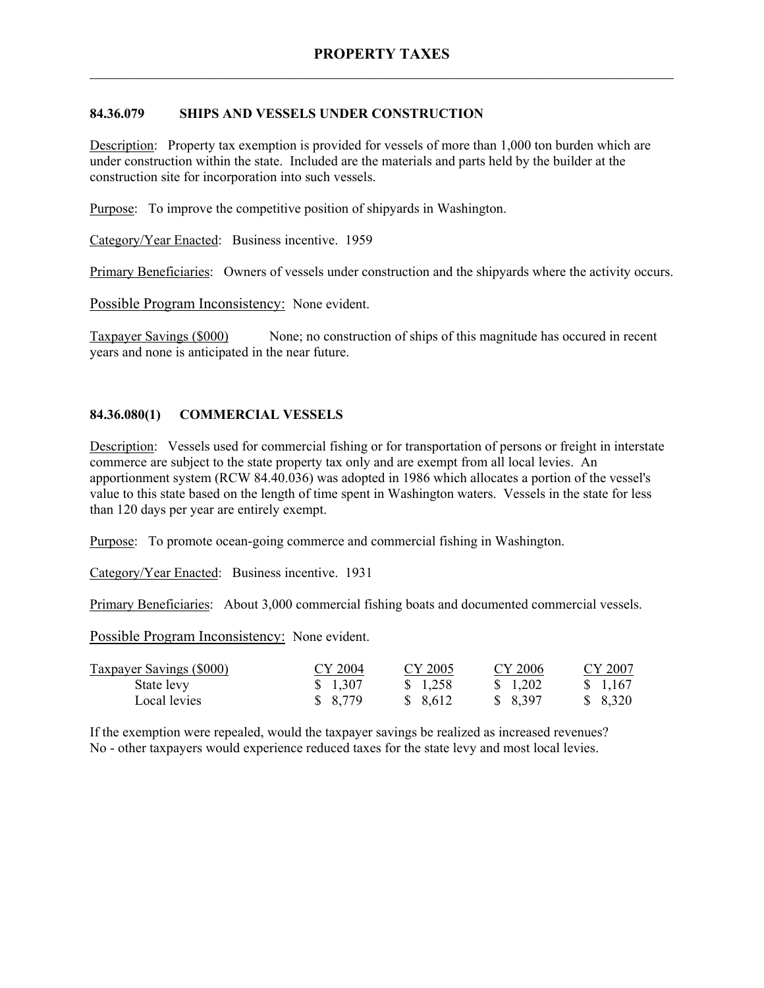# **84.36.079 SHIPS AND VESSELS UNDER CONSTRUCTION**

Description: Property tax exemption is provided for vessels of more than 1,000 ton burden which are under construction within the state. Included are the materials and parts held by the builder at the construction site for incorporation into such vessels.

Purpose: To improve the competitive position of shipyards in Washington.

Category/Year Enacted: Business incentive. 1959

Primary Beneficiaries: Owners of vessels under construction and the shipyards where the activity occurs.

Possible Program Inconsistency: None evident.

Taxpayer Savings (\$000) None; no construction of ships of this magnitude has occured in recent years and none is anticipated in the near future.

# **84.36.080(1) COMMERCIAL VESSELS**

Description: Vessels used for commercial fishing or for transportation of persons or freight in interstate commerce are subject to the state property tax only and are exempt from all local levies. An apportionment system (RCW 84.40.036) was adopted in 1986 which allocates a portion of the vessel's value to this state based on the length of time spent in Washington waters. Vessels in the state for less than 120 days per year are entirely exempt.

Purpose: To promote ocean-going commerce and commercial fishing in Washington.

Category/Year Enacted: Business incentive. 1931

Primary Beneficiaries: About 3,000 commercial fishing boats and documented commercial vessels.

Possible Program Inconsistency: None evident.

| <b>Taxpayer Savings (\$000)</b> | CY 2004 | CY 2005  | CY 2006  | CY 2007  |
|---------------------------------|---------|----------|----------|----------|
| State levy                      | \$1,307 | \$ 1.258 | \$ 1.202 | \$ 1.167 |
| Local levies                    | \$8,779 | \$ 8,612 | \$ 8,397 | \$ 8,320 |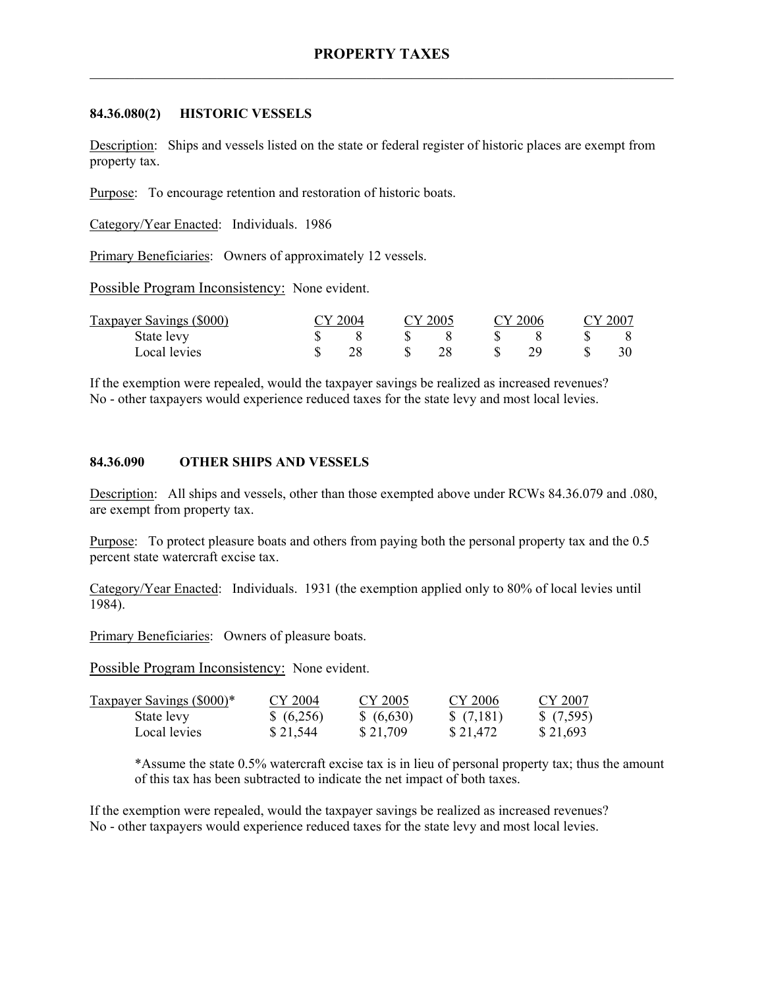#### **84.36.080(2) HISTORIC VESSELS**

Description: Ships and vessels listed on the state or federal register of historic places are exempt from property tax.

Purpose: To encourage retention and restoration of historic boats.

Category/Year Enacted: Individuals. 1986

Primary Beneficiaries: Owners of approximately 12 vessels.

Possible Program Inconsistency: None evident.

| Taxpayer Savings (\$000) | $\gamma$ 2004 | CY 2005 | CY 2006 | CY 2007 |
|--------------------------|---------------|---------|---------|---------|
| State levy               |               |         |         |         |
| Local levies             |               |         | 70      | 30      |

If the exemption were repealed, would the taxpayer savings be realized as increased revenues? No - other taxpayers would experience reduced taxes for the state levy and most local levies.

#### **84.36.090 OTHER SHIPS AND VESSELS**

Description: All ships and vessels, other than those exempted above under RCWs 84.36.079 and .080, are exempt from property tax.

Purpose: To protect pleasure boats and others from paying both the personal property tax and the 0.5 percent state watercraft excise tax.

Category/Year Enacted: Individuals. 1931 (the exemption applied only to 80% of local levies until 1984).

Primary Beneficiaries: Owners of pleasure boats.

Possible Program Inconsistency: None evident.

| Taxpayer Savings (\$000)* | CY 2004  | CY 2005    | CY 2006   | CY 2007   |
|---------------------------|----------|------------|-----------|-----------|
| State levy                | (6,256)  | \$ (6,630) | \$(7,181) | \$(7,595) |
| Local levies              | \$21,544 | \$21,709   | \$21,472  | \$21,693  |

\*Assume the state 0.5% watercraft excise tax is in lieu of personal property tax; thus the amount of this tax has been subtracted to indicate the net impact of both taxes.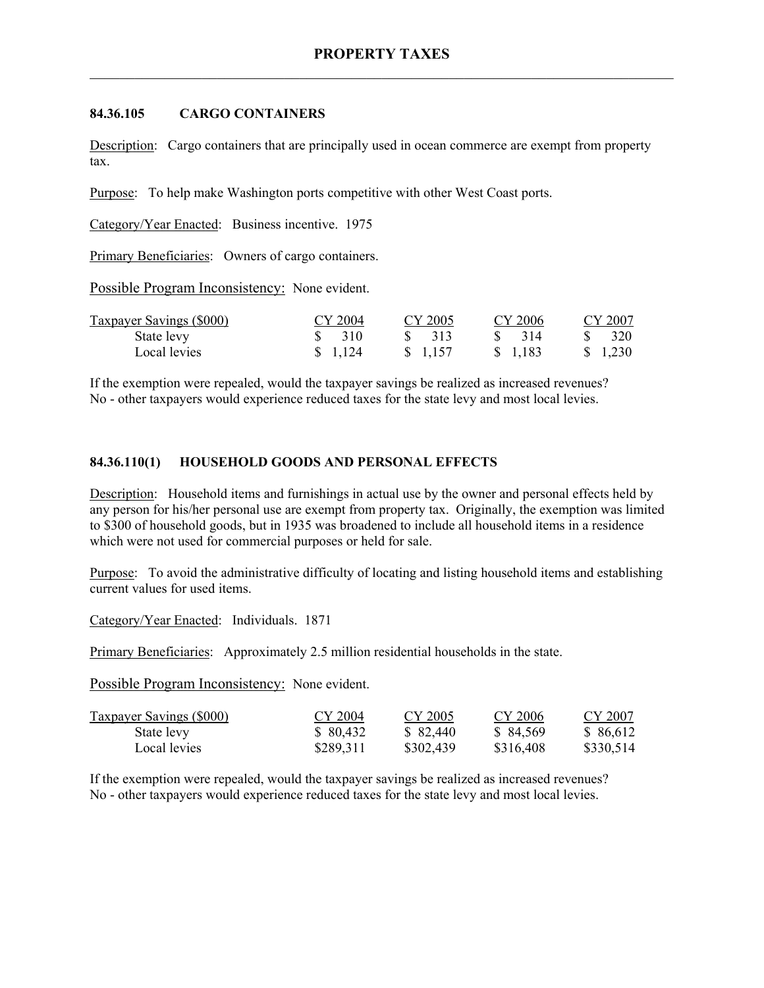#### **84.36.105 CARGO CONTAINERS**

Description: Cargo containers that are principally used in ocean commerce are exempt from property tax.

Purpose: To help make Washington ports competitive with other West Coast ports.

Category/Year Enacted: Business incentive. 1975

Primary Beneficiaries: Owners of cargo containers.

Possible Program Inconsistency: None evident.

| Taxpayer Savings (\$000) | CY 2004           | CY 2005  | CY 2006  | CY 2007 |
|--------------------------|-------------------|----------|----------|---------|
| State levy               | $\frac{1}{2}$ 310 | \$ 313   | \$ 314   | 320     |
| Local levies             | \$ 1.124          | \$ 1.157 | \$ 1.183 | \$1,230 |

If the exemption were repealed, would the taxpayer savings be realized as increased revenues? No - other taxpayers would experience reduced taxes for the state levy and most local levies.

### **84.36.110(1) HOUSEHOLD GOODS AND PERSONAL EFFECTS**

Description: Household items and furnishings in actual use by the owner and personal effects held by any person for his/her personal use are exempt from property tax. Originally, the exemption was limited to \$300 of household goods, but in 1935 was broadened to include all household items in a residence which were not used for commercial purposes or held for sale.

Purpose: To avoid the administrative difficulty of locating and listing household items and establishing current values for used items.

Category/Year Enacted: Individuals. 1871

Primary Beneficiaries: Approximately 2.5 million residential households in the state.

Possible Program Inconsistency: None evident.

| <b>Taxpayer Savings (\$000)</b> | CY 2004   | CY 2005   | CY 2006   | CY 2007   |
|---------------------------------|-----------|-----------|-----------|-----------|
| State levy                      | \$ 80,432 | \$82,440  | \$84,569  | \$ 86,612 |
| Local levies                    | \$289,311 | \$302,439 | \$316,408 | \$330,514 |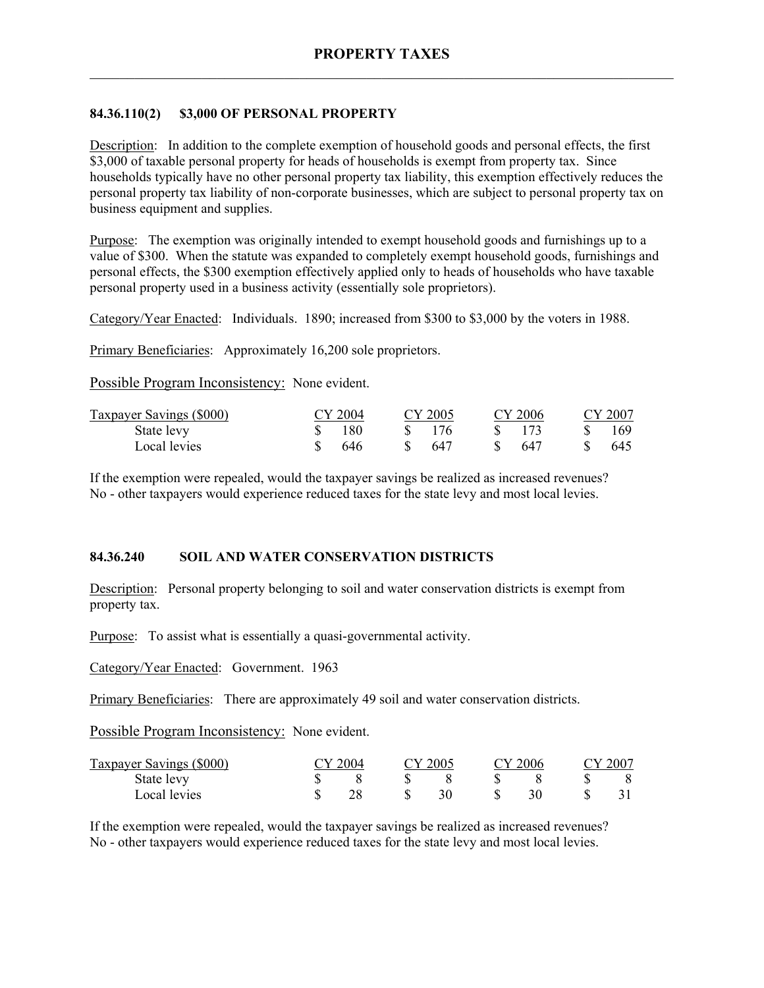# **84.36.110(2) \$3,000 OF PERSONAL PROPERTY**

Description: In addition to the complete exemption of household goods and personal effects, the first \$3,000 of taxable personal property for heads of households is exempt from property tax. Since households typically have no other personal property tax liability, this exemption effectively reduces the personal property tax liability of non-corporate businesses, which are subject to personal property tax on business equipment and supplies.

Purpose: The exemption was originally intended to exempt household goods and furnishings up to a value of \$300. When the statute was expanded to completely exempt household goods, furnishings and personal effects, the \$300 exemption effectively applied only to heads of households who have taxable personal property used in a business activity (essentially sole proprietors).

Category/Year Enacted: Individuals. 1890; increased from \$300 to \$3,000 by the voters in 1988.

Primary Beneficiaries: Approximately 16,200 sole proprietors.

Possible Program Inconsistency: None evident.

| Taxpayer Savings (\$000) | CY 2004 | CY 2005 | CY 2006 | CY 2007 |
|--------------------------|---------|---------|---------|---------|
| State levy               | 180     | 176     |         | 169     |
| Local levies             | 646     | -647    | 647     | 645     |

If the exemption were repealed, would the taxpayer savings be realized as increased revenues? No - other taxpayers would experience reduced taxes for the state levy and most local levies.

#### **84.36.240 SOIL AND WATER CONSERVATION DISTRICTS**

Description: Personal property belonging to soil and water conservation districts is exempt from property tax.

Purpose: To assist what is essentially a quasi-governmental activity.

Category/Year Enacted: Government. 1963

Primary Beneficiaries: There are approximately 49 soil and water conservation districts.

Possible Program Inconsistency: None evident.

| Taxpayer Savings (\$000) | TY 2004 |  | CY 2005 |  | CY 2006 |  | CY 2007 |  |
|--------------------------|---------|--|---------|--|---------|--|---------|--|
| State levy               |         |  |         |  |         |  |         |  |
| Local levies             |         |  |         |  |         |  |         |  |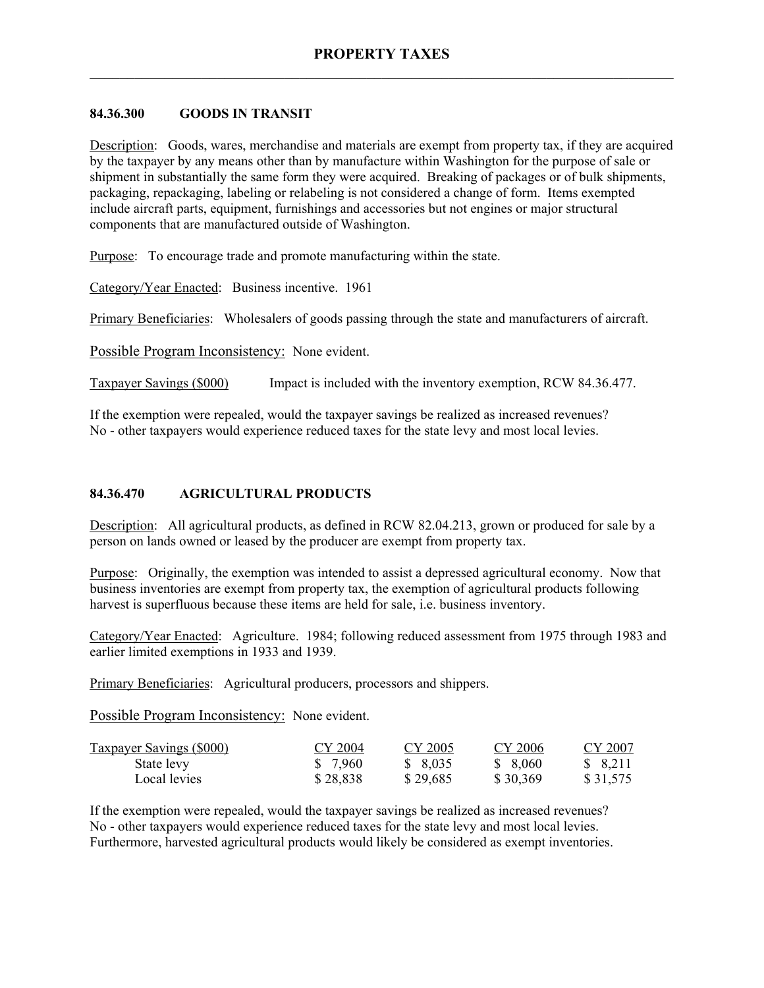### **84.36.300 GOODS IN TRANSIT**

Description: Goods, wares, merchandise and materials are exempt from property tax, if they are acquired by the taxpayer by any means other than by manufacture within Washington for the purpose of sale or shipment in substantially the same form they were acquired. Breaking of packages or of bulk shipments, packaging, repackaging, labeling or relabeling is not considered a change of form. Items exempted include aircraft parts, equipment, furnishings and accessories but not engines or major structural components that are manufactured outside of Washington.

Purpose: To encourage trade and promote manufacturing within the state.

Category/Year Enacted: Business incentive. 1961

Primary Beneficiaries: Wholesalers of goods passing through the state and manufacturers of aircraft.

Possible Program Inconsistency: None evident.

Taxpayer Savings (\$000) Impact is included with the inventory exemption, RCW 84.36.477.

If the exemption were repealed, would the taxpayer savings be realized as increased revenues? No - other taxpayers would experience reduced taxes for the state levy and most local levies.

### **84.36.470 AGRICULTURAL PRODUCTS**

Description: All agricultural products, as defined in RCW 82.04.213, grown or produced for sale by a person on lands owned or leased by the producer are exempt from property tax.

Purpose: Originally, the exemption was intended to assist a depressed agricultural economy. Now that business inventories are exempt from property tax, the exemption of agricultural products following harvest is superfluous because these items are held for sale, i.e. business inventory.

Category/Year Enacted: Agriculture. 1984; following reduced assessment from 1975 through 1983 and earlier limited exemptions in 1933 and 1939.

Primary Beneficiaries: Agricultural producers, processors and shippers.

Possible Program Inconsistency: None evident.

| <b>Taxpayer Savings (\$000)</b> | CY 2004  | CY 2005  | CY 2006  | CY 2007   |
|---------------------------------|----------|----------|----------|-----------|
| State levy                      | \$ 7.960 | \$ 8,035 | \$ 8,060 | \$ 8,211  |
| Local levies                    | \$28,838 | \$29,685 | \$30,369 | \$ 31,575 |

If the exemption were repealed, would the taxpayer savings be realized as increased revenues? No - other taxpayers would experience reduced taxes for the state levy and most local levies. Furthermore, harvested agricultural products would likely be considered as exempt inventories.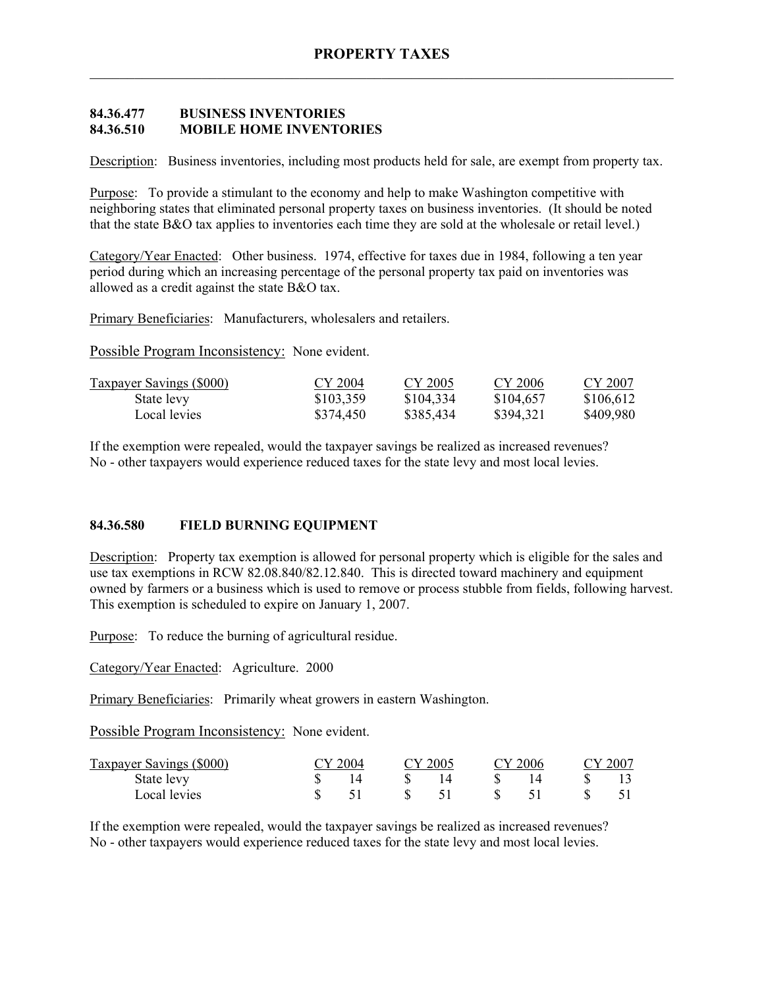# **84.36.477 BUSINESS INVENTORIES 84.36.510 MOBILE HOME INVENTORIES**

Description: Business inventories, including most products held for sale, are exempt from property tax.

Purpose: To provide a stimulant to the economy and help to make Washington competitive with neighboring states that eliminated personal property taxes on business inventories. (It should be noted that the state B&O tax applies to inventories each time they are sold at the wholesale or retail level.)

Category/Year Enacted: Other business. 1974, effective for taxes due in 1984, following a ten year period during which an increasing percentage of the personal property tax paid on inventories was allowed as a credit against the state B&O tax.

Primary Beneficiaries: Manufacturers, wholesalers and retailers.

Possible Program Inconsistency: None evident.

| <b>Taxpayer Savings (\$000)</b> | CY 2004   | CY 2005   | CY 2006   | CY 2007   |
|---------------------------------|-----------|-----------|-----------|-----------|
| State levy                      | \$103,359 | \$104,334 | \$104.657 | \$106,612 |
| Local levies                    | \$374,450 | \$385,434 | \$394,321 | \$409,980 |

If the exemption were repealed, would the taxpayer savings be realized as increased revenues? No - other taxpayers would experience reduced taxes for the state levy and most local levies.

#### **84.36.580 FIELD BURNING EQUIPMENT**

Description: Property tax exemption is allowed for personal property which is eligible for the sales and use tax exemptions in RCW 82.08.840/82.12.840. This is directed toward machinery and equipment owned by farmers or a business which is used to remove or process stubble from fields, following harvest. This exemption is scheduled to expire on January 1, 2007.

Purpose: To reduce the burning of agricultural residue.

Category/Year Enacted: Agriculture. 2000

Primary Beneficiaries: Primarily wheat growers in eastern Washington.

Possible Program Inconsistency: None evident.

| Taxpayer Savings (\$000) | CY 2004 | $\gamma$ 2005 | CY 2006 | CY 2007 |
|--------------------------|---------|---------------|---------|---------|
| State levy               |         |               |         |         |
| Local levies             |         |               |         |         |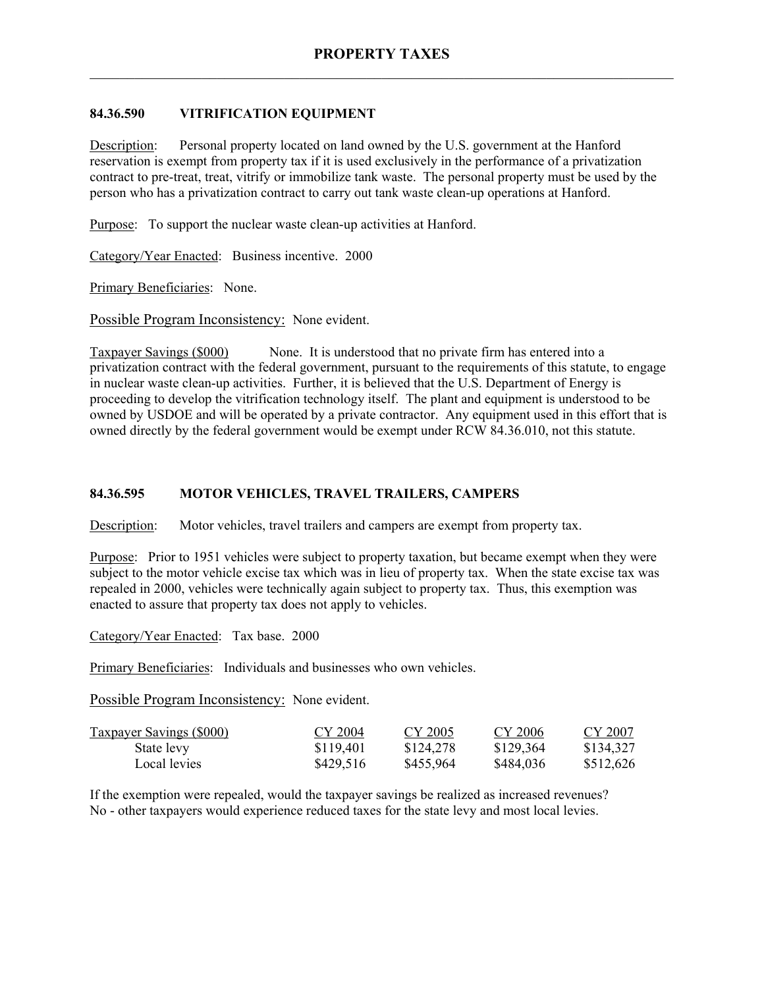# **84.36.590 VITRIFICATION EQUIPMENT**

Description: Personal property located on land owned by the U.S. government at the Hanford reservation is exempt from property tax if it is used exclusively in the performance of a privatization contract to pre-treat, treat, vitrify or immobilize tank waste. The personal property must be used by the person who has a privatization contract to carry out tank waste clean-up operations at Hanford.

Purpose: To support the nuclear waste clean-up activities at Hanford.

Category/Year Enacted: Business incentive. 2000

Primary Beneficiaries: None.

Possible Program Inconsistency: None evident.

Taxpayer Savings (\$000) None. It is understood that no private firm has entered into a privatization contract with the federal government, pursuant to the requirements of this statute, to engage in nuclear waste clean-up activities. Further, it is believed that the U.S. Department of Energy is proceeding to develop the vitrification technology itself. The plant and equipment is understood to be owned by USDOE and will be operated by a private contractor. Any equipment used in this effort that is owned directly by the federal government would be exempt under RCW 84.36.010, not this statute.

# **84.36.595 MOTOR VEHICLES, TRAVEL TRAILERS, CAMPERS**

Description: Motor vehicles, travel trailers and campers are exempt from property tax.

Purpose: Prior to 1951 vehicles were subject to property taxation, but became exempt when they were subject to the motor vehicle excise tax which was in lieu of property tax. When the state excise tax was repealed in 2000, vehicles were technically again subject to property tax. Thus, this exemption was enacted to assure that property tax does not apply to vehicles.

Category/Year Enacted: Tax base. 2000

Primary Beneficiaries: Individuals and businesses who own vehicles.

Possible Program Inconsistency: None evident.

| <b>Taxpayer Savings (\$000)</b> | CY 2004   | CY 2005   | CY 2006   | CY 2007   |
|---------------------------------|-----------|-----------|-----------|-----------|
| State levy                      | \$119,401 | \$124,278 | \$129,364 | \$134,327 |
| Local levies                    | \$429,516 | \$455,964 | \$484,036 | \$512,626 |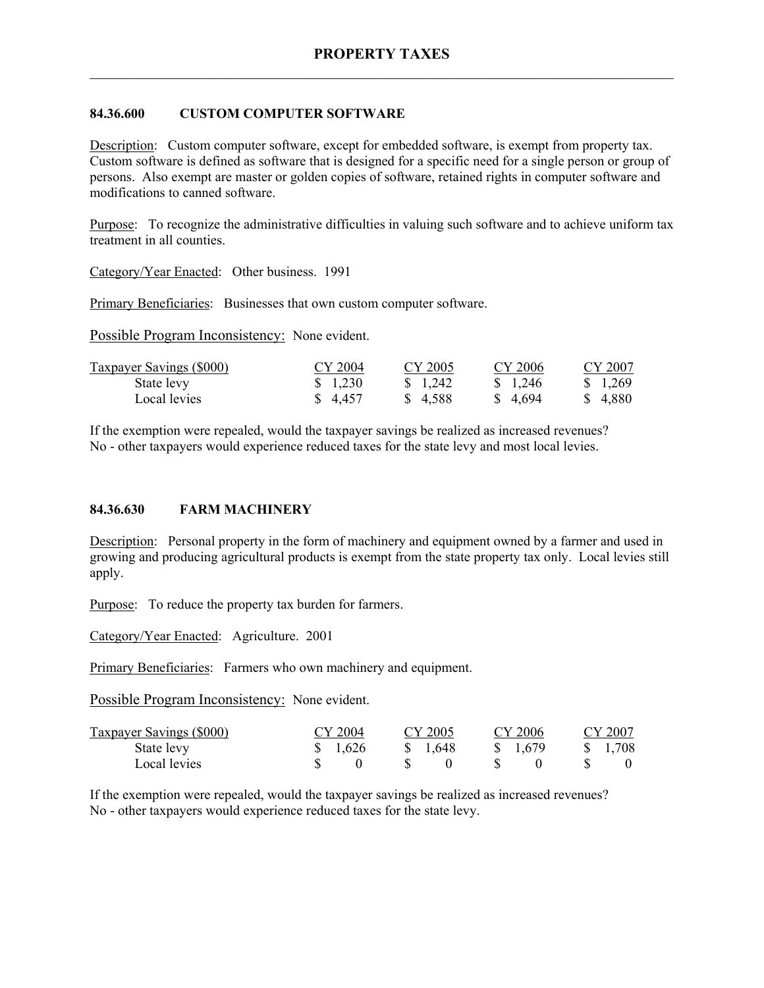# **84.36.600 CUSTOM COMPUTER SOFTWARE**

Description: Custom computer software, except for embedded software, is exempt from property tax. Custom software is defined as software that is designed for a specific need for a single person or group of persons. Also exempt are master or golden copies of software, retained rights in computer software and modifications to canned software.

Purpose: To recognize the administrative difficulties in valuing such software and to achieve uniform tax treatment in all counties.

Category/Year Enacted: Other business. 1991

Primary Beneficiaries: Businesses that own custom computer software.

Possible Program Inconsistency: None evident.

| <b>Taxpayer Savings (\$000)</b> | CY 2004 | CY 2005  | CY 2006  | CY 2007  |
|---------------------------------|---------|----------|----------|----------|
| State levy                      | \$1,230 | \$ 1.242 | \$ 1.246 | \$ 1,269 |
| Local levies                    | \$4.457 | \$4.588  | \$4.694  | \$ 4,880 |

If the exemption were repealed, would the taxpayer savings be realized as increased revenues? No - other taxpayers would experience reduced taxes for the state levy and most local levies.

#### **84.36.630 FARM MACHINERY**

Description: Personal property in the form of machinery and equipment owned by a farmer and used in growing and producing agricultural products is exempt from the state property tax only. Local levies still apply.

Purpose: To reduce the property tax burden for farmers.

Category/Year Enacted: Agriculture. 2001

Primary Beneficiaries: Farmers who own machinery and equipment.

Possible Program Inconsistency: None evident.

| Taxpayer Savings (\$000) | CY 2004 | CY 2005  | CY 2006 | CY 2007 |
|--------------------------|---------|----------|---------|---------|
| State levy               | \$1,626 | \$ 1.648 | \$1,679 | \$1,708 |
| Local levies             |         |          |         |         |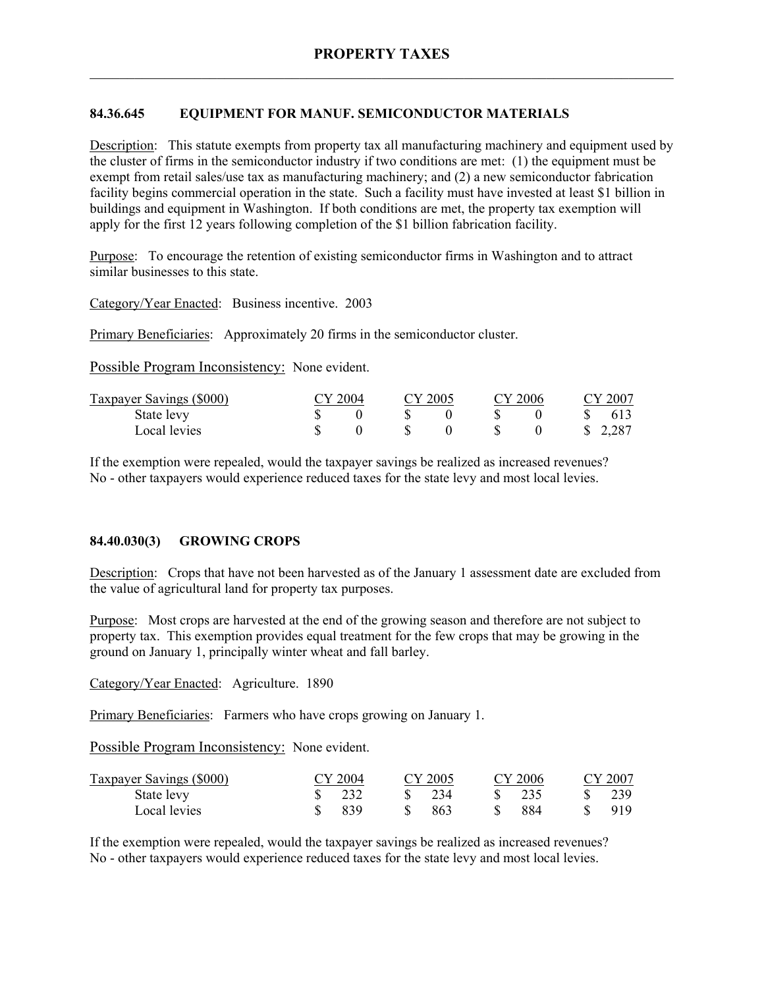# **84.36.645 EQUIPMENT FOR MANUF. SEMICONDUCTOR MATERIALS**

Description: This statute exempts from property tax all manufacturing machinery and equipment used by the cluster of firms in the semiconductor industry if two conditions are met: (1) the equipment must be exempt from retail sales/use tax as manufacturing machinery; and (2) a new semiconductor fabrication facility begins commercial operation in the state. Such a facility must have invested at least \$1 billion in buildings and equipment in Washington. If both conditions are met, the property tax exemption will apply for the first 12 years following completion of the \$1 billion fabrication facility.

Purpose: To encourage the retention of existing semiconductor firms in Washington and to attract similar businesses to this state.

Category/Year Enacted: Business incentive. 2003

Primary Beneficiaries: Approximately 20 firms in the semiconductor cluster.

Possible Program Inconsistency: None evident.

| Taxpayer Savings (\$000) | CY 2004 | CY 2005 | CY 2006 |  | CY 2007 |
|--------------------------|---------|---------|---------|--|---------|
| State levy               |         |         |         |  | 613     |
| Local levies             |         |         |         |  | \$2,287 |

If the exemption were repealed, would the taxpayer savings be realized as increased revenues? No - other taxpayers would experience reduced taxes for the state levy and most local levies.

#### **84.40.030(3) GROWING CROPS**

Description: Crops that have not been harvested as of the January 1 assessment date are excluded from the value of agricultural land for property tax purposes.

Purpose: Most crops are harvested at the end of the growing season and therefore are not subject to property tax. This exemption provides equal treatment for the few crops that may be growing in the ground on January 1, principally winter wheat and fall barley.

Category/Year Enacted: Agriculture. 1890

Primary Beneficiaries: Farmers who have crops growing on January 1.

Possible Program Inconsistency: None evident.

| <b>Taxpayer Savings (\$000)</b> | CY 2004 | CY 2005 | CY 2006 | CY 2007 |
|---------------------------------|---------|---------|---------|---------|
| State levy                      | 232     | 234     | 235     | 239     |
| Local levies                    | 839     | 863     | 884     | 919     |